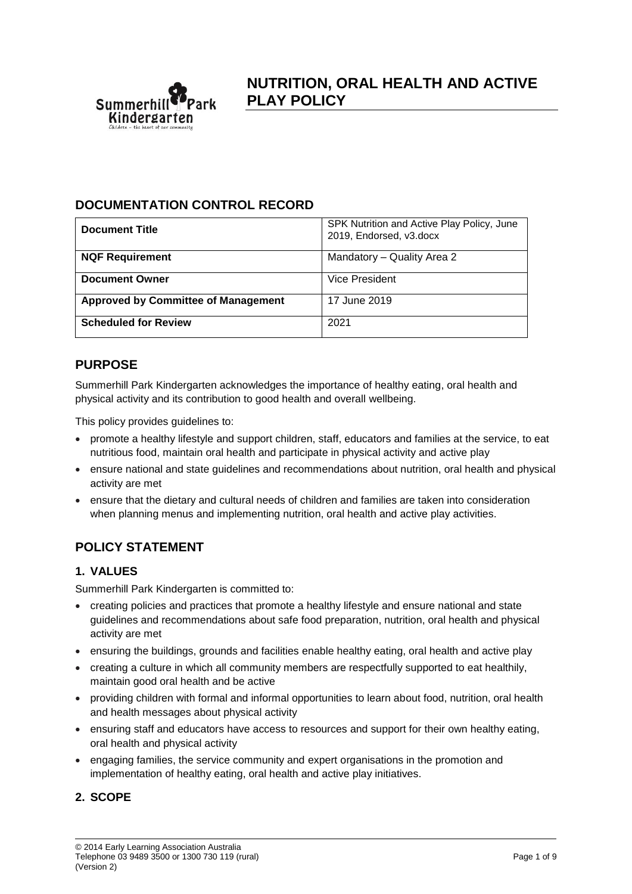

## **DOCUMENTATION CONTROL RECORD**

| <b>Document Title</b>                      | SPK Nutrition and Active Play Policy, June<br>2019, Endorsed, v3.docx |
|--------------------------------------------|-----------------------------------------------------------------------|
| <b>NQF Requirement</b>                     | Mandatory - Quality Area 2                                            |
| <b>Document Owner</b>                      | Vice President                                                        |
| <b>Approved by Committee of Management</b> | 17 June 2019                                                          |
| <b>Scheduled for Review</b>                | 2021                                                                  |

## **PURPOSE**

Summerhill Park Kindergarten acknowledges the importance of healthy eating, oral health and physical activity and its contribution to good health and overall wellbeing.

This policy provides guidelines to:

- promote a healthy lifestyle and support children, staff, educators and families at the service, to eat nutritious food, maintain oral health and participate in physical activity and active play
- ensure national and state guidelines and recommendations about nutrition, oral health and physical activity are met
- ensure that the dietary and cultural needs of children and families are taken into consideration when planning menus and implementing nutrition, oral health and active play activities.

# **POLICY STATEMENT**

### **1. VALUES**

Summerhill Park Kindergarten is committed to:

- creating policies and practices that promote a healthy lifestyle and ensure national and state guidelines and recommendations about safe food preparation, nutrition, oral health and physical activity are met
- ensuring the buildings, grounds and facilities enable healthy eating, oral health and active play
- creating a culture in which all community members are respectfully supported to eat healthily, maintain good oral health and be active
- providing children with formal and informal opportunities to learn about food, nutrition, oral health and health messages about physical activity
- ensuring staff and educators have access to resources and support for their own healthy eating, oral health and physical activity
- engaging families, the service community and expert organisations in the promotion and implementation of healthy eating, oral health and active play initiatives.

## **2. SCOPE**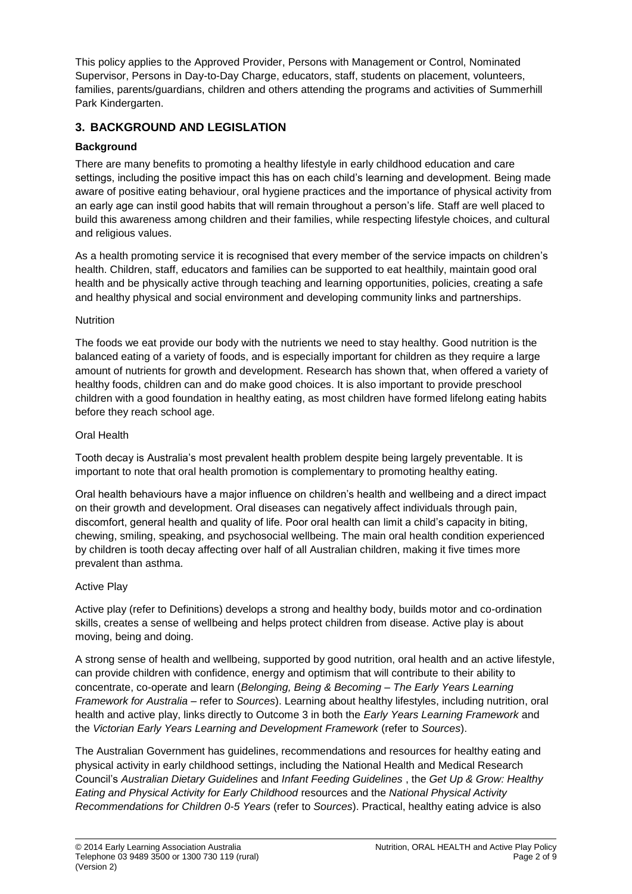This policy applies to the Approved Provider, Persons with Management or Control, Nominated Supervisor, Persons in Day-to-Day Charge, educators, staff, students on placement, volunteers, families, parents/guardians, children and others attending the programs and activities of Summerhill Park Kindergarten.

## **3. BACKGROUND AND LEGISLATION**

## **Background**

There are many benefits to promoting a healthy lifestyle in early childhood education and care settings, including the positive impact this has on each child's learning and development. Being made aware of positive eating behaviour, oral hygiene practices and the importance of physical activity from an early age can instil good habits that will remain throughout a person's life. Staff are well placed to build this awareness among children and their families, while respecting lifestyle choices, and cultural and religious values.

As a health promoting service it is recognised that every member of the service impacts on children's health. Children, staff, educators and families can be supported to eat healthily, maintain good oral health and be physically active through teaching and learning opportunities, policies, creating a safe and healthy physical and social environment and developing community links and partnerships.

### **Nutrition**

The foods we eat provide our body with the nutrients we need to stay healthy. Good nutrition is the balanced eating of a variety of foods, and is especially important for children as they require a large amount of nutrients for growth and development. Research has shown that, when offered a variety of healthy foods, children can and do make good choices. It is also important to provide preschool children with a good foundation in healthy eating, as most children have formed lifelong eating habits before they reach school age.

### Oral Health

Tooth decay is Australia's most prevalent health problem despite being largely preventable. It is important to note that oral health promotion is complementary to promoting healthy eating.

Oral health behaviours have a major influence on children's health and wellbeing and a direct impact on their growth and development. Oral diseases can negatively affect individuals through pain, discomfort, general health and quality of life. Poor oral health can limit a child's capacity in biting, chewing, smiling, speaking, and psychosocial wellbeing. The main oral health condition experienced by children is tooth decay affecting over half of all Australian children, making it five times more prevalent than asthma.

### Active Play

Active play (refer to Definitions) develops a strong and healthy body, builds motor and co-ordination skills, creates a sense of wellbeing and helps protect children from disease. Active play is about moving, being and doing.

A strong sense of health and wellbeing, supported by good nutrition, oral health and an active lifestyle, can provide children with confidence, energy and optimism that will contribute to their ability to concentrate, co-operate and learn (*Belonging, Being & Becoming – The Early Years Learning Framework for Australia* – refer to *Sources*). Learning about healthy lifestyles, including nutrition, oral health and active play, links directly to Outcome 3 in both the *Early Years Learning Framework* and the *Victorian Early Years Learning and Development Framework* (refer to *Sources*).

The Australian Government has guidelines, recommendations and resources for healthy eating and physical activity in early childhood settings, including the National Health and Medical Research Council's *Australian Dietary Guidelines* and *Infant Feeding Guidelines* , the *Get Up & Grow: Healthy Eating and Physical Activity for Early Childhood* resources and the *National Physical Activity Recommendations for Children 0-5 Years* (refer to *Sources*). Practical, healthy eating advice is also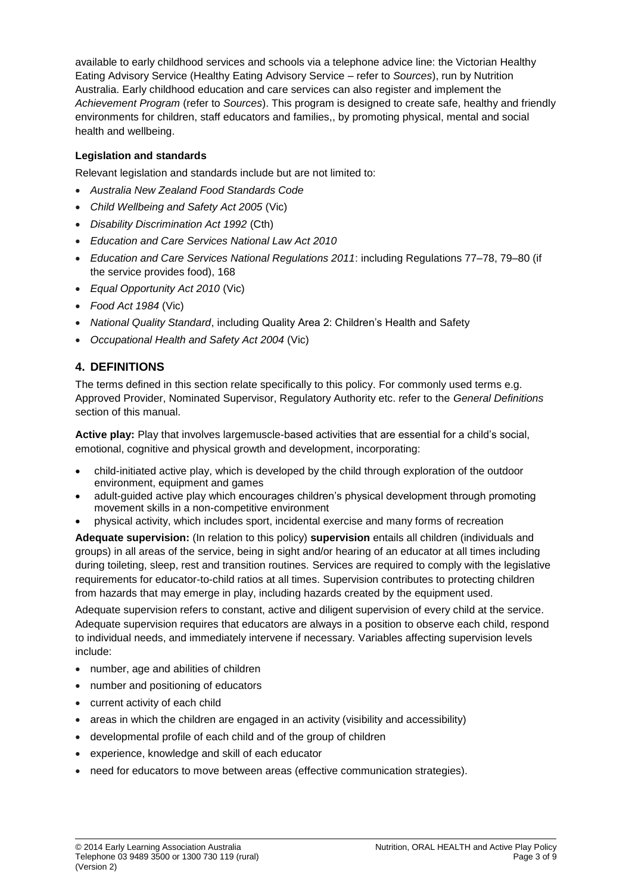available to early childhood services and schools via a telephone advice line: the Victorian Healthy Eating Advisory Service (Healthy Eating Advisory Service – refer to *Sources*), run by Nutrition Australia. Early childhood education and care services can also register and implement the *Achievement Program* (refer to *Sources*). This program is designed to create safe, healthy and friendly environments for children, staff educators and families,, by promoting physical, mental and social health and wellbeing.

### **Legislation and standards**

Relevant legislation and standards include but are not limited to:

- *Australia New Zealand Food Standards Code*
- *Child Wellbeing and Safety Act 2005* (Vic)
- *Disability Discrimination Act 1992* (Cth)
- *Education and Care Services National Law Act 2010*
- *Education and Care Services National Regulations 2011*: including Regulations 77–78, 79–80 (if the service provides food), 168
- *Equal Opportunity Act 2010* (Vic)
- *Food Act 1984* (Vic)
- *National Quality Standard*, including Quality Area 2: Children's Health and Safety
- *Occupational Health and Safety Act 2004* (Vic)

## **4. DEFINITIONS**

The terms defined in this section relate specifically to this policy. For commonly used terms e.g. Approved Provider, Nominated Supervisor, Regulatory Authority etc. refer to the *General Definitions* section of this manual.

**Active play:** Play that involves largemuscle-based activities that are essential for a child's social, emotional, cognitive and physical growth and development, incorporating:

- child-initiated active play, which is developed by the child through exploration of the outdoor environment, equipment and games
- adult-guided active play which encourages children's physical development through promoting movement skills in a non-competitive environment
- physical activity, which includes sport, incidental exercise and many forms of recreation

**Adequate supervision:** (In relation to this policy) **supervision** entails all children (individuals and groups) in all areas of the service, being in sight and/or hearing of an educator at all times including during toileting, sleep, rest and transition routines. Services are required to comply with the legislative requirements for educator-to-child ratios at all times. Supervision contributes to protecting children from hazards that may emerge in play, including hazards created by the equipment used.

Adequate supervision refers to constant, active and diligent supervision of every child at the service. Adequate supervision requires that educators are always in a position to observe each child, respond to individual needs, and immediately intervene if necessary. Variables affecting supervision levels include:

- number, age and abilities of children
- number and positioning of educators
- current activity of each child
- areas in which the children are engaged in an activity (visibility and accessibility)
- developmental profile of each child and of the group of children
- experience, knowledge and skill of each educator
- need for educators to move between areas (effective communication strategies).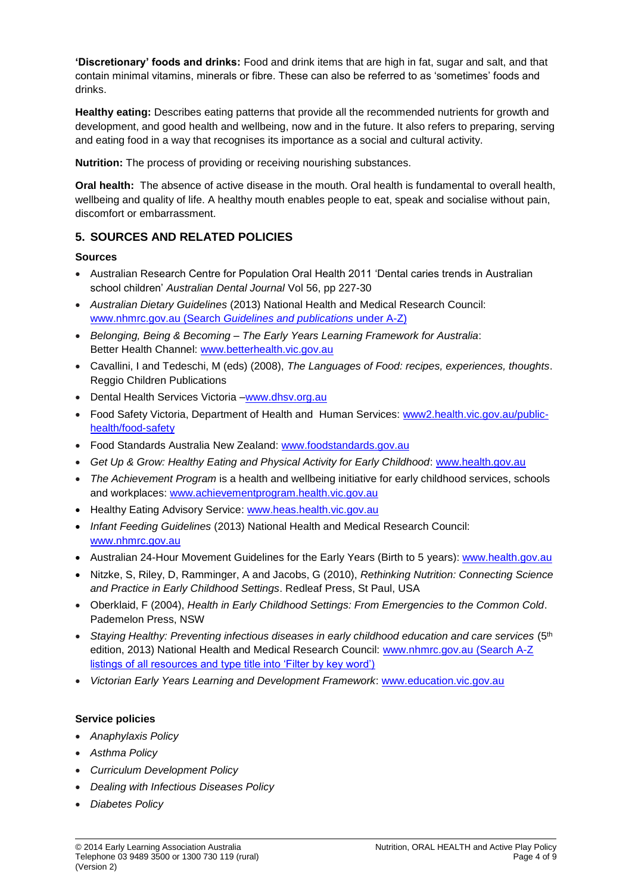**'Discretionary' foods and drinks:** Food and drink items that are high in fat, sugar and salt, and that contain minimal vitamins, minerals or fibre. These can also be referred to as 'sometimes' foods and drinks.

**Healthy eating:** Describes eating patterns that provide all the recommended nutrients for growth and development, and good health and wellbeing, now and in the future. It also refers to preparing, serving and eating food in a way that recognises its importance as a social and cultural activity.

**Nutrition:** The process of providing or receiving nourishing substances.

**Oral health:** The absence of active disease in the mouth. Oral health is fundamental to overall health, wellbeing and quality of life. A healthy mouth enables people to eat, speak and socialise without pain, discomfort or embarrassment.

### **5. SOURCES AND RELATED POLICIES**

### **Sources**

- Australian Research Centre for Population Oral Health 2011 'Dental caries trends in Australian school children' *Australian Dental Journal* Vol 56, pp 227-30
- *Australian Dietary Guidelines* (2013) National Health and Medical Research Council: [www.nhmrc.gov.au](https://www.nhmrc.gov.au/) (Search *Guidelines and publications* under A-Z)
- *Belonging, Being & Becoming – The Early Years Learning Framework for Australia*: Better Health Channel: [www.betterhealth.vic.gov.au](http://www.betterhealth.vic.gov.au/)
- Cavallini, I and Tedeschi, M (eds) (2008), *The Languages of Food: recipes, experiences, thoughts*. Reggio Children Publications
- Dental Health Services Victoria -www.dhsv.org.au
- Food Safety Victoria, Department of Health and Human Services: [www2.health.vic.gov.au/public](https://www2.health.vic.gov.au/public-health/food-safety)[health/food-safety](https://www2.health.vic.gov.au/public-health/food-safety)
- Food Standards Australia New Zealand: [www.foodstandards.gov.au](http://www.foodstandards.gov.au/)
- *Get Up & Grow: Healthy Eating and Physical Activity for Early Childhood*: [www.health.gov.au](http://www.health.gov.au/)
- *The Achievement Program* is a health and wellbeing initiative for early childhood services, schools and workplaces: [www.achievementprogram.health.vic.gov.au](http://www.achievementprogram.health.vic.gov.au/)
- Healthy Eating Advisory Service: [www.heas.health.vic.gov.au](http://heas.health.vic.gov.au/)
- *Infant Feeding Guidelines* (2013) National Health and Medical Research Council: [www.nhmrc.gov.au](http://www.nhmrc.gov.au/)
- Australian 24-Hour Movement Guidelines for the Early Years (Birth to 5 years): [www.health.gov.au](http://www.health.gov.au/)
- Nitzke, S, Riley, D, Ramminger, A and Jacobs, G (2010), *Rethinking Nutrition: Connecting Science and Practice in Early Childhood Settings*. Redleaf Press, St Paul, USA
- Oberklaid, F (2004), *Health in Early Childhood Settings: From Emergencies to the Common Cold*. Pademelon Press, NSW
- *Staying Healthy: Preventing infectious diseases in early childhood education and care services* (5th edition, 2013) National Health and Medical Research Council: [www.nhmrc.gov.au](https://www.nhmrc.gov.au/) (Search A-Z listings of all resources and type title into 'Filter by key word')
- *Victorian Early Years Learning and Development Framework*: [www.education.vic.gov.au](http://www.education.vic.gov.au/Pages/default.aspx)

### **Service policies**

- *Anaphylaxis Policy*
- *Asthma Policy*
- *Curriculum Development Policy*
- *Dealing with Infectious Diseases Policy*
- *Diabetes Policy*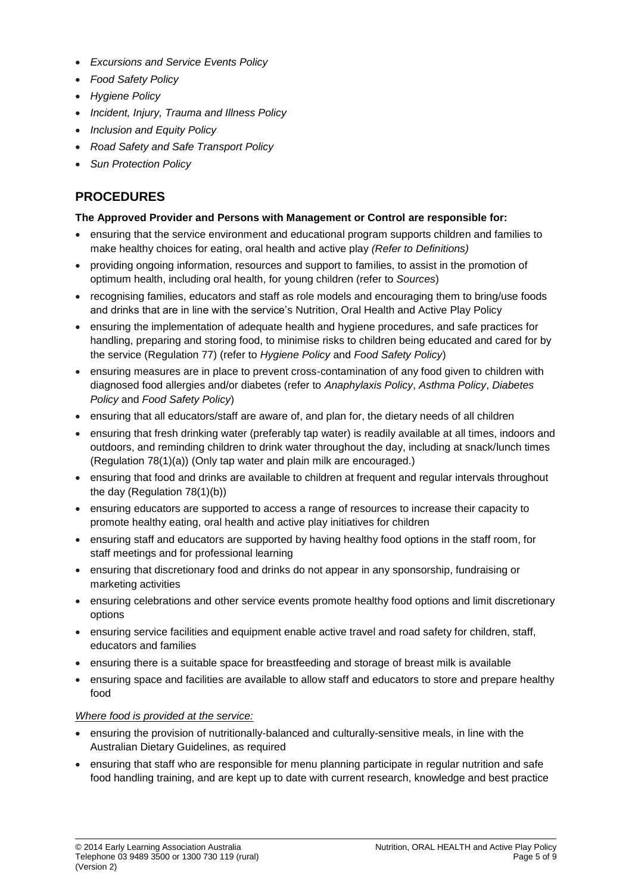- *Excursions and Service Events Policy*
- *Food Safety Policy*
- *Hygiene Policy*
- *Incident, Injury, Trauma and Illness Policy*
- *Inclusion and Equity Policy*
- *Road Safety and Safe Transport Policy*
- *Sun Protection Policy*

## **PROCEDURES**

### **The Approved Provider and Persons with Management or Control are responsible for:**

- ensuring that the service environment and educational program supports children and families to make healthy choices for eating, oral health and active play *(Refer to Definitions)*
- providing ongoing information, resources and support to families, to assist in the promotion of optimum health, including oral health, for young children (refer to *Sources*)
- recognising families, educators and staff as role models and encouraging them to bring/use foods and drinks that are in line with the service's Nutrition, Oral Health and Active Play Policy
- ensuring the implementation of adequate health and hygiene procedures, and safe practices for handling, preparing and storing food, to minimise risks to children being educated and cared for by the service (Regulation 77) (refer to *Hygiene Policy* and *Food Safety Policy*)
- ensuring measures are in place to prevent cross-contamination of any food given to children with diagnosed food allergies and/or diabetes (refer to *Anaphylaxis Policy*, *Asthma Policy*, *Diabetes Policy* and *Food Safety Policy*)
- ensuring that all educators/staff are aware of, and plan for, the dietary needs of all children
- ensuring that fresh drinking water (preferably tap water) is readily available at all times, indoors and outdoors, and reminding children to drink water throughout the day, including at snack/lunch times (Regulation 78(1)(a)) (Only tap water and plain milk are encouraged.)
- ensuring that food and drinks are available to children at frequent and regular intervals throughout the day (Regulation 78(1)(b))
- ensuring educators are supported to access a range of resources to increase their capacity to promote healthy eating, oral health and active play initiatives for children
- ensuring staff and educators are supported by having healthy food options in the staff room, for staff meetings and for professional learning
- ensuring that discretionary food and drinks do not appear in any sponsorship, fundraising or marketing activities
- ensuring celebrations and other service events promote healthy food options and limit discretionary options
- ensuring service facilities and equipment enable active travel and road safety for children, staff, educators and families
- ensuring there is a suitable space for breastfeeding and storage of breast milk is available
- ensuring space and facilities are available to allow staff and educators to store and prepare healthy food

### *Where food is provided at the service:*

- ensuring the provision of nutritionally-balanced and culturally-sensitive meals, in line with the Australian Dietary Guidelines, as required
- ensuring that staff who are responsible for menu planning participate in regular nutrition and safe food handling training, and are kept up to date with current research, knowledge and best practice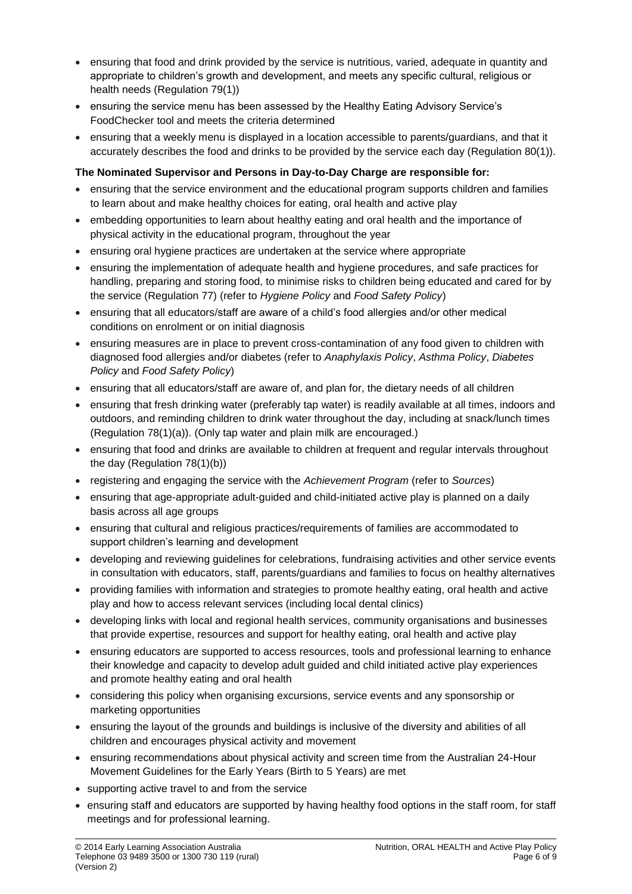- ensuring that food and drink provided by the service is nutritious, varied, adequate in quantity and appropriate to children's growth and development, and meets any specific cultural, religious or health needs (Regulation 79(1))
- ensuring the service menu has been assessed by the Healthy Eating Advisory Service's FoodChecker tool and meets the criteria determined
- ensuring that a weekly menu is displayed in a location accessible to parents/guardians, and that it accurately describes the food and drinks to be provided by the service each day (Regulation 80(1)).

### **The Nominated Supervisor and Persons in Day-to-Day Charge are responsible for:**

- ensuring that the service environment and the educational program supports children and families to learn about and make healthy choices for eating, oral health and active play
- embedding opportunities to learn about healthy eating and oral health and the importance of physical activity in the educational program, throughout the year
- ensuring oral hygiene practices are undertaken at the service where appropriate
- ensuring the implementation of adequate health and hygiene procedures, and safe practices for handling, preparing and storing food, to minimise risks to children being educated and cared for by the service (Regulation 77) (refer to *Hygiene Policy* and *Food Safety Policy*)
- ensuring that all educators/staff are aware of a child's food allergies and/or other medical conditions on enrolment or on initial diagnosis
- ensuring measures are in place to prevent cross-contamination of any food given to children with diagnosed food allergies and/or diabetes (refer to *Anaphylaxis Policy*, *Asthma Policy*, *Diabetes Policy* and *Food Safety Policy*)
- ensuring that all educators/staff are aware of, and plan for, the dietary needs of all children
- ensuring that fresh drinking water (preferably tap water) is readily available at all times, indoors and outdoors, and reminding children to drink water throughout the day, including at snack/lunch times (Regulation 78(1)(a)). (Only tap water and plain milk are encouraged.)
- ensuring that food and drinks are available to children at frequent and regular intervals throughout the day (Regulation 78(1)(b))
- registering and engaging the service with the *Achievement Program* (refer to *Sources*)
- ensuring that age-appropriate adult-guided and child-initiated active play is planned on a daily basis across all age groups
- ensuring that cultural and religious practices/requirements of families are accommodated to support children's learning and development
- developing and reviewing guidelines for celebrations, fundraising activities and other service events in consultation with educators, staff, parents/guardians and families to focus on healthy alternatives
- providing families with information and strategies to promote healthy eating, oral health and active play and how to access relevant services (including local dental clinics)
- developing links with local and regional health services, community organisations and businesses that provide expertise, resources and support for healthy eating, oral health and active play
- ensuring educators are supported to access resources, tools and professional learning to enhance their knowledge and capacity to develop adult guided and child initiated active play experiences and promote healthy eating and oral health
- considering this policy when organising excursions, service events and any sponsorship or marketing opportunities
- ensuring the layout of the grounds and buildings is inclusive of the diversity and abilities of all children and encourages physical activity and movement
- ensuring recommendations about physical activity and screen time from the Australian 24-Hour Movement Guidelines for the Early Years (Birth to 5 Years) are met
- supporting active travel to and from the service
- ensuring staff and educators are supported by having healthy food options in the staff room, for staff meetings and for professional learning.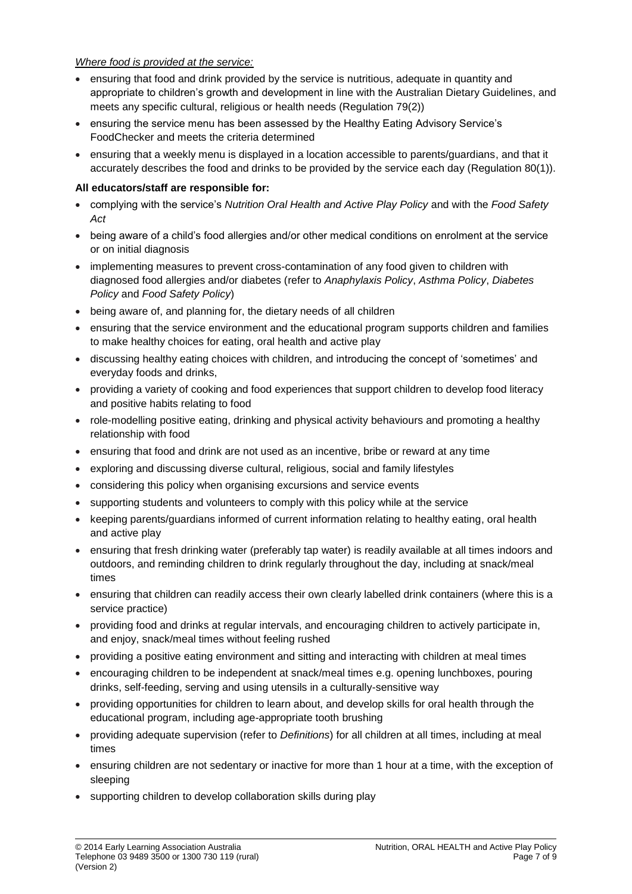### *Where food is provided at the service:*

- ensuring that food and drink provided by the service is nutritious, adequate in quantity and appropriate to children's growth and development in line with the Australian Dietary Guidelines, and meets any specific cultural, religious or health needs (Regulation 79(2))
- ensuring the service menu has been assessed by the Healthy Eating Advisory Service's FoodChecker and meets the criteria determined
- ensuring that a weekly menu is displayed in a location accessible to parents/guardians, and that it accurately describes the food and drinks to be provided by the service each day (Regulation 80(1)).

### **All educators/staff are responsible for:**

- complying with the service's *Nutrition Oral Health and Active Play Policy* and with the *Food Safety Act*
- being aware of a child's food allergies and/or other medical conditions on enrolment at the service or on initial diagnosis
- implementing measures to prevent cross-contamination of any food given to children with diagnosed food allergies and/or diabetes (refer to *Anaphylaxis Policy*, *Asthma Policy*, *Diabetes Policy* and *Food Safety Policy*)
- being aware of, and planning for, the dietary needs of all children
- ensuring that the service environment and the educational program supports children and families to make healthy choices for eating, oral health and active play
- discussing healthy eating choices with children, and introducing the concept of 'sometimes' and everyday foods and drinks,
- providing a variety of cooking and food experiences that support children to develop food literacy and positive habits relating to food
- role-modelling positive eating, drinking and physical activity behaviours and promoting a healthy relationship with food
- ensuring that food and drink are not used as an incentive, bribe or reward at any time
- exploring and discussing diverse cultural, religious, social and family lifestyles
- considering this policy when organising excursions and service events
- supporting students and volunteers to comply with this policy while at the service
- keeping parents/guardians informed of current information relating to healthy eating, oral health and active play
- ensuring that fresh drinking water (preferably tap water) is readily available at all times indoors and outdoors, and reminding children to drink regularly throughout the day, including at snack/meal times
- ensuring that children can readily access their own clearly labelled drink containers (where this is a service practice)
- providing food and drinks at regular intervals, and encouraging children to actively participate in, and enjoy, snack/meal times without feeling rushed
- providing a positive eating environment and sitting and interacting with children at meal times
- encouraging children to be independent at snack/meal times e.g. opening lunchboxes, pouring drinks, self-feeding, serving and using utensils in a culturally-sensitive way
- providing opportunities for children to learn about, and develop skills for oral health through the educational program, including age-appropriate tooth brushing
- providing adequate supervision (refer to *Definitions*) for all children at all times, including at meal times
- ensuring children are not sedentary or inactive for more than 1 hour at a time, with the exception of sleeping
- supporting children to develop collaboration skills during play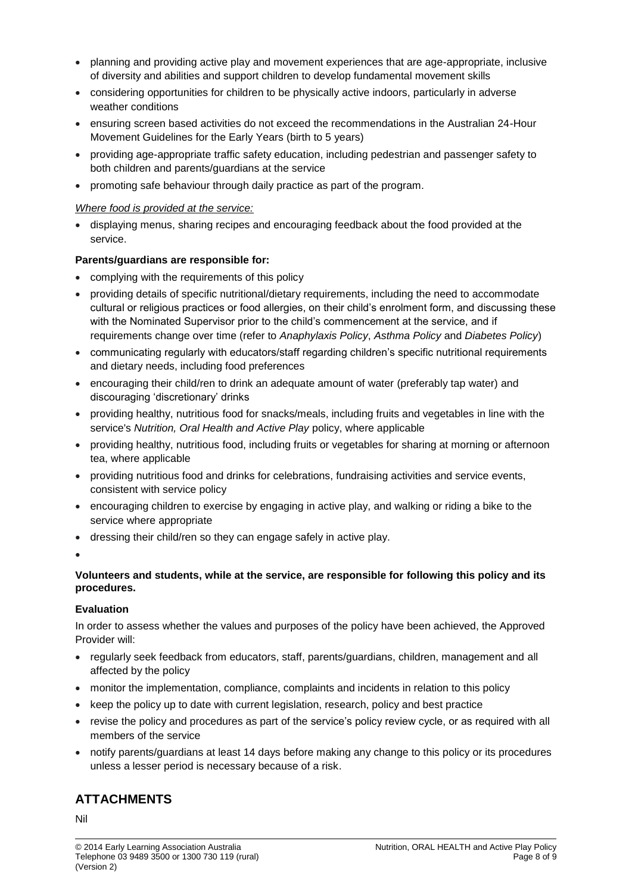- planning and providing active play and movement experiences that are age-appropriate, inclusive of diversity and abilities and support children to develop fundamental movement skills
- considering opportunities for children to be physically active indoors, particularly in adverse weather conditions
- ensuring screen based activities do not exceed the recommendations in the Australian 24-Hour Movement Guidelines for the Early Years (birth to 5 years)
- providing age-appropriate traffic safety education, including pedestrian and passenger safety to both children and parents/guardians at the service
- promoting safe behaviour through daily practice as part of the program.

#### *Where food is provided at the service:*

• displaying menus, sharing recipes and encouraging feedback about the food provided at the service.

### **Parents/guardians are responsible for:**

- complying with the requirements of this policy
- providing details of specific nutritional/dietary requirements, including the need to accommodate cultural or religious practices or food allergies, on their child's enrolment form, and discussing these with the Nominated Supervisor prior to the child's commencement at the service, and if requirements change over time (refer to *Anaphylaxis Policy*, *Asthma Policy* and *Diabetes Policy*)
- communicating regularly with educators/staff regarding children's specific nutritional requirements and dietary needs, including food preferences
- encouraging their child/ren to drink an adequate amount of water (preferably tap water) and discouraging 'discretionary' drinks
- providing healthy, nutritious food for snacks/meals, including fruits and vegetables in line with the service's *Nutrition, Oral Health and Active Play* policy, where applicable
- providing healthy, nutritious food, including fruits or vegetables for sharing at morning or afternoon tea, where applicable
- providing nutritious food and drinks for celebrations, fundraising activities and service events, consistent with service policy
- encouraging children to exercise by engaging in active play, and walking or riding a bike to the service where appropriate
- dressing their child/ren so they can engage safely in active play.

•

#### **Volunteers and students, while at the service, are responsible for following this policy and its procedures.**

#### **Evaluation**

In order to assess whether the values and purposes of the policy have been achieved, the Approved Provider will:

- regularly seek feedback from educators, staff, parents/guardians, children, management and all affected by the policy
- monitor the implementation, compliance, complaints and incidents in relation to this policy
- keep the policy up to date with current legislation, research, policy and best practice
- revise the policy and procedures as part of the service's policy review cycle, or as required with all members of the service
- notify parents/guardians at least 14 days before making any change to this policy or its procedures unless a lesser period is necessary because of a risk.

# **ATTACHMENTS**

Nil